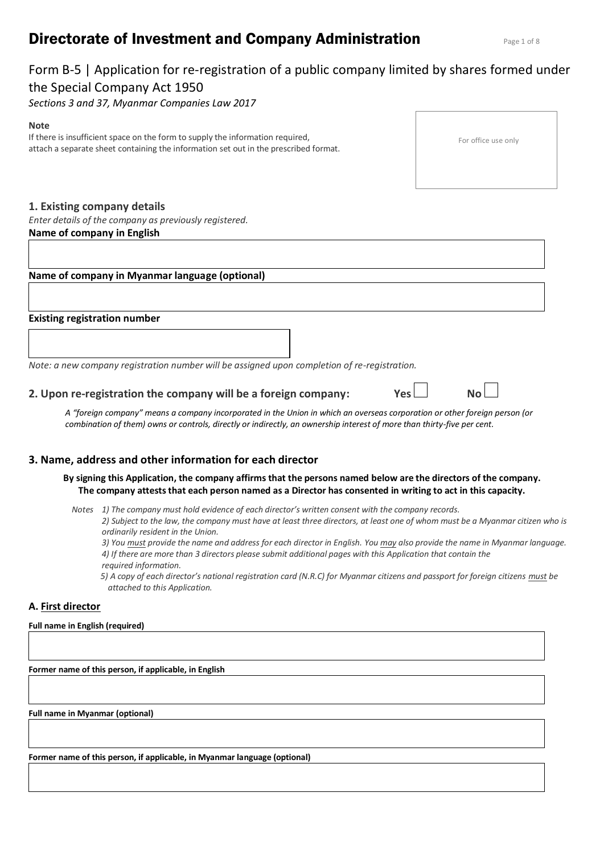# **Directorate of Investment and Company Administration** Page 1 of 8

# Form B-5 | Application for re-registration of a public company limited by shares formed under the Special Company Act 1950

*Sections 3 and 37, Myanmar Companies Law 2017*

#### **Note**

If there is insufficient space on the form to supply the information required, attach a separate sheet containing the information set out in the prescribed format.

# **1. Existing company details**

*Enter details of the company as previously registered.*

# **Name of company in English**

# **Name of company in Myanmar language (optional)**

# **Existing registration number**

*Note: a new company registration number will be assigned upon completion of re-registration.*

# **2. Upon re-registration the company will be a foreign company: Yes No**

*A "foreign company" means a company incorporated in the Union in which an overseas corporation or other foreign person (or combination of them) owns or controls, directly or indirectly, an ownership interest of more than thirty-five per cent.*

# **3. Name, address and other information for each director**

- **By signing this Application, the company affirms that the persons named below are the directors of the company. The company attests that each person named as a Director has consented in writing to act in this capacity.**
	- *Notes 1) The company must hold evidence of each director's written consent with the company records.*

*5) A copy of each director's national registration card (N.R.C) for Myanmar citizens and passport for foreign citizens <i>must* be *attached to this Application.* 

# **A. First director**

#### **Full name in English (required)**

**Former name of this person, if applicable, in English**

**Full name in Myanmar (optional)**

**Former name of this person, if applicable, in Myanmar language (optional)**

| For office use only |  |
|---------------------|--|

*<sup>2)</sup> Subject to the law, the company must have at least three directors, at least one of whom must be a Myanmar citizen who is ordinarily resident in the Union.*

*<sup>3)</sup> You must provide the name and address for each director in English. You may also provide the name in Myanmar language. 4) If there are more than 3 directors please submit additional pages with this Application that contain the required information.*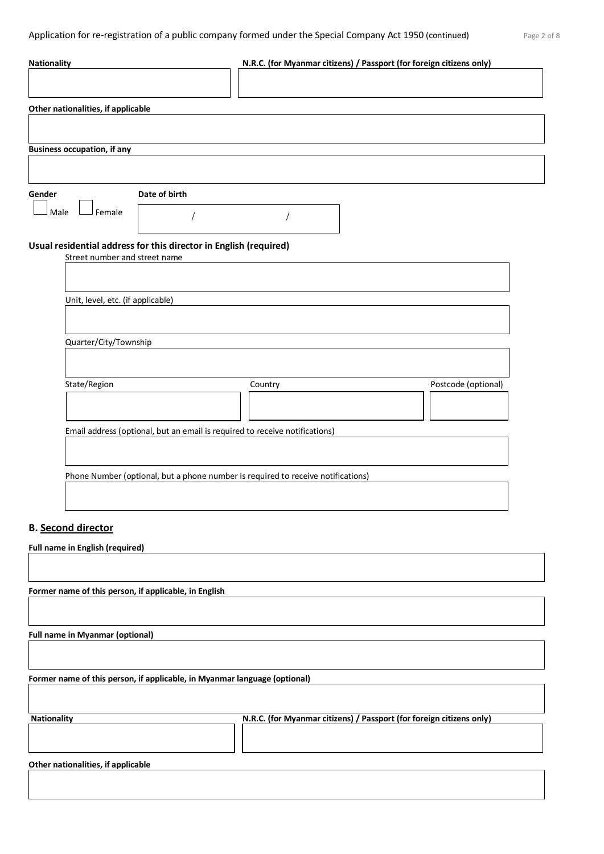| <b>Nationality</b>                 |                                                                   | N.R.C. (for Myanmar citizens) / Passport (for foreign citizens only)             |                     |  |
|------------------------------------|-------------------------------------------------------------------|----------------------------------------------------------------------------------|---------------------|--|
|                                    |                                                                   |                                                                                  |                     |  |
| Other nationalities, if applicable |                                                                   |                                                                                  |                     |  |
|                                    |                                                                   |                                                                                  |                     |  |
| <b>Business occupation, if any</b> |                                                                   |                                                                                  |                     |  |
|                                    |                                                                   |                                                                                  |                     |  |
| Gender                             | Date of birth                                                     |                                                                                  |                     |  |
| Female<br>Male                     |                                                                   |                                                                                  |                     |  |
|                                    | Usual residential address for this director in English (required) |                                                                                  |                     |  |
| Street number and street name      |                                                                   |                                                                                  |                     |  |
|                                    |                                                                   |                                                                                  |                     |  |
| Unit, level, etc. (if applicable)  |                                                                   |                                                                                  |                     |  |
|                                    |                                                                   |                                                                                  |                     |  |
| Quarter/City/Township              |                                                                   |                                                                                  |                     |  |
|                                    |                                                                   |                                                                                  |                     |  |
| State/Region                       |                                                                   | Country                                                                          | Postcode (optional) |  |
|                                    |                                                                   |                                                                                  |                     |  |
|                                    |                                                                   | Email address (optional, but an email is required to receive notifications)      |                     |  |
|                                    |                                                                   |                                                                                  |                     |  |
|                                    |                                                                   |                                                                                  |                     |  |
|                                    |                                                                   | Phone Number (optional, but a phone number is required to receive notifications) |                     |  |
|                                    |                                                                   |                                                                                  |                     |  |
| <b>B. Second director</b>          |                                                                   |                                                                                  |                     |  |

**Full name in English (required)**

**Former name of this person, if applicable, in English**

**Full name in Myanmar (optional)**

**Former name of this person, if applicable, in Myanmar language (optional)**

| <b>Nationality</b> | N.R.C. (for Myanmar citizens) / Passport (for foreign citizens only) |
|--------------------|----------------------------------------------------------------------|
|                    |                                                                      |
|                    |                                                                      |

**Other nationalities, if applicable**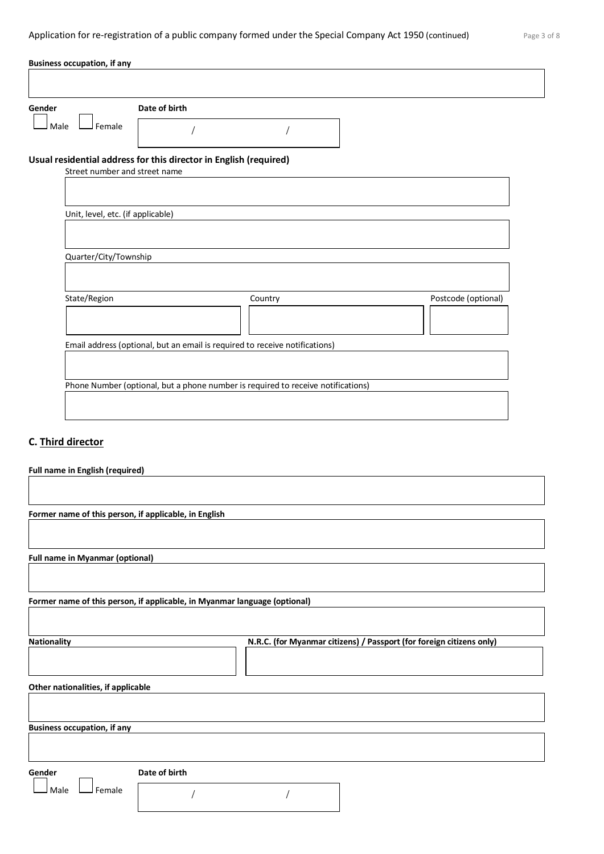| Gender                            | Date of birth                                                     |                                                                             |                     |
|-----------------------------------|-------------------------------------------------------------------|-----------------------------------------------------------------------------|---------------------|
| Female<br>Male                    |                                                                   |                                                                             |                     |
| Street number and street name     | Usual residential address for this director in English (required) |                                                                             |                     |
|                                   |                                                                   |                                                                             |                     |
| Unit, level, etc. (if applicable) |                                                                   |                                                                             |                     |
|                                   |                                                                   |                                                                             |                     |
|                                   |                                                                   |                                                                             |                     |
| Quarter/City/Township             |                                                                   |                                                                             |                     |
| State/Region                      |                                                                   | Country                                                                     | Postcode (optional) |
|                                   |                                                                   |                                                                             |                     |
|                                   |                                                                   | Email address (optional, but an email is required to receive notifications) |                     |

# **C. Third director**

**Full name in English (required)**

| Former name of this person, if applicable, in English |                                                                           |
|-------------------------------------------------------|---------------------------------------------------------------------------|
|                                                       |                                                                           |
| <b>Full name in Myanmar (optional)</b>                |                                                                           |
|                                                       |                                                                           |
|                                                       | Former name of this person, if applicable, in Myanmar language (optional) |
|                                                       |                                                                           |
| <b>Nationality</b>                                    | N.R.C. (for Myanmar citizens) / Passport (for foreign citizens only)      |
|                                                       |                                                                           |
| Other nationalities, if applicable                    |                                                                           |
|                                                       |                                                                           |
| <b>Business occupation, if any</b>                    |                                                                           |
|                                                       |                                                                           |
| Gender                                                | Date of birth                                                             |
| Female<br>Male                                        |                                                                           |
|                                                       |                                                                           |
|                                                       |                                                                           |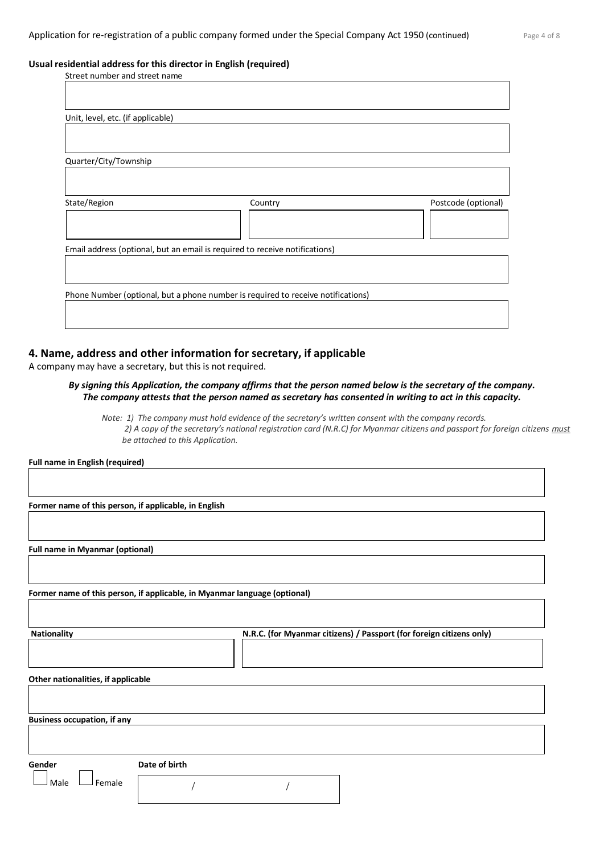#### **Usual residential address for this director in English (required)**

| Street number and street name     |                                                                                  |                     |
|-----------------------------------|----------------------------------------------------------------------------------|---------------------|
|                                   |                                                                                  |                     |
|                                   |                                                                                  |                     |
| Unit, level, etc. (if applicable) |                                                                                  |                     |
|                                   |                                                                                  |                     |
|                                   |                                                                                  |                     |
| Quarter/City/Township             |                                                                                  |                     |
|                                   |                                                                                  |                     |
|                                   |                                                                                  |                     |
| State/Region                      | Country                                                                          | Postcode (optional) |
|                                   |                                                                                  |                     |
|                                   |                                                                                  |                     |
|                                   | Email address (optional, but an email is required to receive notifications)      |                     |
|                                   |                                                                                  |                     |
|                                   |                                                                                  |                     |
|                                   | Phone Number (optional, but a phone number is required to receive notifications) |                     |
|                                   |                                                                                  |                     |
|                                   |                                                                                  |                     |
|                                   |                                                                                  |                     |

# **4. Name, address and other information for secretary, if applicable**

A company may have a secretary, but this is not required.

# *By signing this Application, the company affirms that the person named below is the secretary of the company. The company attests that the person named as secretary has consented in writing to act in this capacity.*

*Note: 1) The company must hold evidence of the secretary's written consent with the company records. 2) A copy of the secretary's national registration card (N.R.C) for Myanmar citizens and passport for foreign citizens must be attached to this Application.* 

**Full name in English (required)**

**Former name of this person, if applicable, in English**

**Full name in Myanmar (optional)**

**Former name of this person, if applicable, in Myanmar language (optional)**

**Nationality N.R.C. (for Myanmar citizens) / Passport (for foreign citizens only)**

**Other nationalities, if applicable**

**Business occupation, if any**

**Gender Date of birth**

 $\Box$  Female

/ /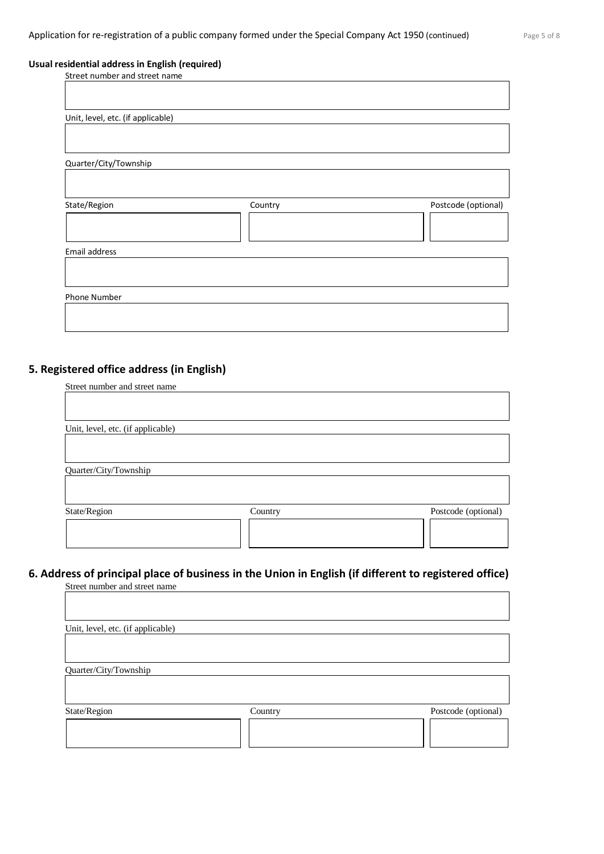┑

# **Usual residential address in English (required)**

Street number and street name

| Unit, level, etc. (if applicable) |         |                     |
|-----------------------------------|---------|---------------------|
|                                   |         |                     |
| Quarter/City/Township             |         |                     |
|                                   |         |                     |
| State/Region                      | Country | Postcode (optional) |
|                                   |         |                     |
| Email address                     |         |                     |
|                                   |         |                     |
| Phone Number                      |         |                     |
|                                   |         |                     |
|                                   |         |                     |

# **5. Registered office address (in English)**

| Street number and street name     |         |                     |
|-----------------------------------|---------|---------------------|
|                                   |         |                     |
|                                   |         |                     |
|                                   |         |                     |
| Unit, level, etc. (if applicable) |         |                     |
|                                   |         |                     |
|                                   |         |                     |
| Quarter/City/Township             |         |                     |
|                                   |         |                     |
|                                   |         |                     |
|                                   |         |                     |
| State/Region                      | Country | Postcode (optional) |
|                                   |         |                     |
|                                   |         |                     |
|                                   |         |                     |
|                                   |         |                     |

# **6. Address of principal place of business in the Union in English (if different to registered office)** Street number and street name

| Unit, level, etc. (if applicable) |         |                     |
|-----------------------------------|---------|---------------------|
|                                   |         |                     |
| Quarter/City/Township             |         |                     |
|                                   |         |                     |
| State/Region                      | Country | Postcode (optional) |
|                                   |         |                     |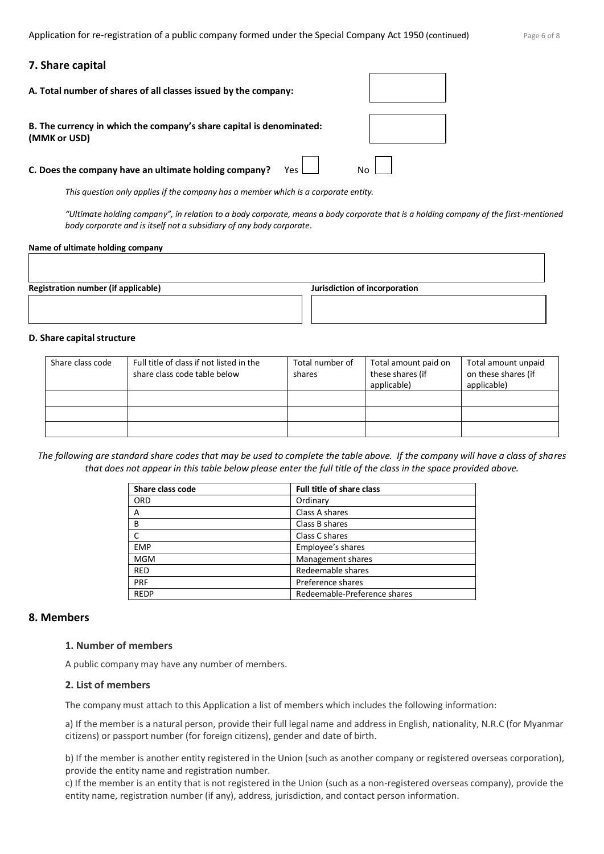# **7. Share capital**

| A. Total number of shares of all classes issued by the company:                      |  |
|--------------------------------------------------------------------------------------|--|
| B. The currency in which the company's share capital is denominated:<br>(MMK or USD) |  |
| C. Does the company have an ultimate holding company?<br>Yes l                       |  |

*This question only applies if the company has a member which is a corporate entity.*

*"Ultimate holding company", in relation to a body corporate, means a body corporate that is a holding company of the first-mentioned body corporate and is itself not a subsidiary of any body corporate.*

#### **Name of ultimate holding company**

| <b>Registration number (if applicable)</b> | Jurisdiction of incorporation |
|--------------------------------------------|-------------------------------|
|                                            |                               |
|                                            |                               |
|                                            |                               |

#### **D. Share capital structure**

| Share class code | Full title of class if not listed in the<br>share class code table below | Total number of<br>shares | Total amount paid on<br>these shares (if<br>applicable) | Total amount unpaid<br>on these shares (if<br>applicable) |
|------------------|--------------------------------------------------------------------------|---------------------------|---------------------------------------------------------|-----------------------------------------------------------|
|                  |                                                                          |                           |                                                         |                                                           |
|                  |                                                                          |                           |                                                         |                                                           |
|                  |                                                                          |                           |                                                         |                                                           |

*The following are standard share codes that may be used to complete the table above. If the company will have a class of shares that does not appear in this table below please enter the full title of the class in the space provided above.*

| Share class code | <b>Full title of share class</b> |  |
|------------------|----------------------------------|--|
| <b>ORD</b>       | Ordinary                         |  |
| A                | Class A shares                   |  |
| B                | Class B shares                   |  |
|                  | Class C shares                   |  |
| <b>EMP</b>       | Employee's shares                |  |
| <b>MGM</b>       | Management shares                |  |
| <b>RED</b>       | Redeemable shares                |  |
| PRF              | Preference shares                |  |
| <b>REDP</b>      | Redeemable-Preference shares     |  |

# **8. Members**

# **1. Number of members**

A public company may have any number of members.

# **2. List of members**

The company must attach to this Application a list of members which includes the following information:

a) If the member is a natural person, provide their full legal name and address in English, nationality, N.R.C (for Myanmar citizens) or passport number (for foreign citizens), gender and date of birth.

b) If the member is another entity registered in the Union (such as another company or registered overseas corporation), provide the entity name and registration number.

c) If the member is an entity that is not registered in the Union (such as a non-registered overseas company), provide the entity name, registration number (if any), address, jurisdiction, and contact person information.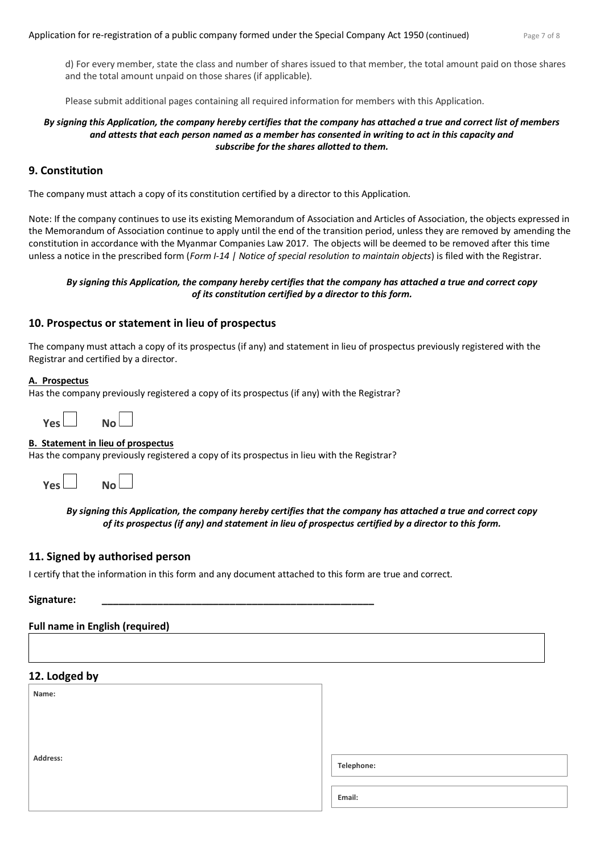d) For every member, state the class and number of shares issued to that member, the total amount paid on those shares and the total amount unpaid on those shares (if applicable).

Please submit additional pages containing all required information for members with this Application.

# *By signing this Application, the company hereby certifies that the company has attached a true and correct list of members and attests that each person named as a member has consented in writing to act in this capacity and subscribe for the shares allotted to them.*

# **9. Constitution**

The company must attach a copy of its constitution certified by a director to this Application.

Note: If the company continues to use its existing Memorandum of Association and Articles of Association, the objects expressed in the Memorandum of Association continue to apply until the end of the transition period, unless they are removed by amending the constitution in accordance with the Myanmar Companies Law 2017. The objects will be deemed to be removed after this time unless a notice in the prescribed form (*Form I-14 | Notice of special resolution to maintain objects*) is filed with the Registrar.

# *By signing this Application, the company hereby certifies that the company has attached a true and correct copy of its constitution certified by a director to this form.*

# **10. Prospectus or statement in lieu of prospectus**

The company must attach a copy of its prospectus (if any) and statement in lieu of prospectus previously registered with the Registrar and certified by a director.

#### **A. Prospectus**

Has the company previously registered a copy of its prospectus (if any) with the Registrar?

| Yes | No ∟ |  |
|-----|------|--|
|     |      |  |

# **B. Statement in lieu of prospectus**

Has the company previously registered a copy of its prospectus in lieu with the Registrar?



*By signing this Application, the company hereby certifies that the company has attached a true and correct copy of its prospectus (if any) and statement in lieu of prospectus certified by a director to this form.*

# **11. Signed by authorised person**

I certify that the information in this form and any document attached to this form are true and correct.

#### **Signature: \_\_\_\_\_\_\_\_\_\_\_\_\_\_\_\_\_\_\_\_\_\_\_\_\_\_\_\_\_\_\_\_\_\_\_\_\_\_\_\_\_\_\_\_\_\_\_\_\_**

# **Full name in English (required)**

# **12. Lodged by**

| Name:    |            |
|----------|------------|
|          |            |
|          |            |
| Address: | Telephone: |
|          |            |
|          | Email:     |